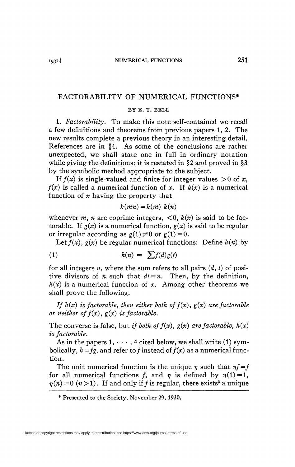## FACTORABILITY OF NUMERICAL FUNCTIONS\*

## **BY E. T. BELL**

1. *Factorability.* To make this note self-contained we recall a few definitions and theorems from previous papers 1,2. The new results complete a previous theory in an interesting detail. References are in §4. As some of the conclusions are rather unexpected, we shall state one in full in ordinary notation while giving the definitions; it is restated in §2 and proved in §3 by the symbolic method appropriate to the subject.

If  $f(x)$  is single-valued and finite for integer values  $>0$  of x,  $f(x)$  is called a numerical function of x. If  $k(x)$  is a numerical function of *x* having the property that

$$
k(mn) = k(m) k(n)
$$

whenever m, n are coprime integers,  $\langle 0, k(x) \rangle$  is said to be factorable. If  $g(x)$  is a numerical function,  $g(x)$  is said to be regular or irregular according as  $g(1) \neq 0$  or  $g(1) = 0$ .

Let  $f(x)$ ,  $g(x)$  be regular numerical functions. Define  $h(n)$  by

$$
(1) \hspace{1cm} h(n) = \sum f(d) g(t)
$$

for all integers *n,* where the sum refers to all pairs *(d, t)* of positive divisors of *n* such that  $dt = n$ . Then, by the definition,  $h(x)$  is a numerical function of x. Among other theorems we shall prove the following.

*If*  $h(x)$  *is factorable, then either both of*  $f(x)$ ,  $g(x)$  *are factorable or neither of*  $f(x)$ ,  $g(x)$  *is factorable.* 

The converse is false, but *if both of*  $f(x)$ ,  $g(x)$  *are factorable*,  $h(x)$ *is factorable.* 

As in the papers  $1, \dots, 4$  cited below, we shall write (1) symbolically,  $h = fg$ , and refer to f instead of  $f(x)$  as a numerical function.

The unit numerical function is the unique  $\eta$  such that  $\eta f = f$ for all numerical functions f, and  $\eta$  is defined by  $\eta(1) = 1$ ,  $\eta(n) = 0$  ( $n > 1$ ). If and only if f is regular, there exists<sup>3</sup> a unique

<sup>\*</sup> Presented to the Society, November 29, 1930.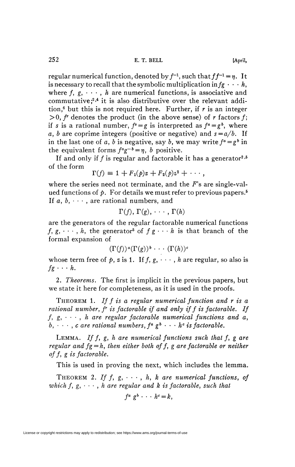regular numerical function, denoted by  $f^{-1}$ , such that  $ff^{-1} = \eta$ . It is necessary to recall that the symbolic multiplication in  $fg \cdot \cdot \cdot h$ , where  $f, g, \dots, h$  are numerical functions, is associative and commutative;<sup>2,4</sup> it is also distributive over the relevant addition,<sup>6</sup> but this is not required here. Further, if  $r$  is an integer  $> 0$ ,  $f^r$  denotes the product (in the above sense) of  $r$  factors  $f$ ; if *s* is a rational number,  $f^s = g$  is interpreted as  $f^a = g^b$ , where a, b are coprime integers (positive or negative) and  $s = a/b$ . If in the last one of a, b is negative, say b, we may write  $f^a = g^b$  in the equivalent forms  $f^a g^{-b} = \eta$ , *b* positive.

If and only if  $f$  is regular and factorable it has a generator<sup>2,5</sup> of the form

$$
\Gamma(f) \equiv 1 + F_1(\rho)z + F_2(\rho)z^2 + \cdots,
$$

where the series need not terminate, and the *F's* are single-valued functions of  $\phi$ . For details we must refer to previous papers.<sup>5</sup> If *a, b, • - -* , are rational numbers, and

$$
\Gamma(f),\,\Gamma(g),\,\cdots,\,\Gamma(h)
$$

are the generators of the regular factorable numerical functions  $f, g, \dots, h$ , the generator<sup>5</sup> of  $fg \cdots h$  is that branch of the formal expansion of

 $(\Gamma(f))^a(\Gamma(g))^b \cdot \cdot \cdot (\Gamma(h))^c$ 

whose term free of  $p$ ,  $z$  is 1. If  $f$ ,  $g$ ,  $\dots$ ,  $h$  are regular, so also is  $fg \cdot \cdot \cdot h$ .

2. *Theorems.* The first is implicit in the previous papers, but we state it here for completeness, as it is used in the proofs.

THEOREM 1. *If f is a regular numerical function and r is a rational number, f<sup>r</sup> is factorable if and only if f is factorable. If*   $f, g, \dots, h$  are regular factorable numerical functions and a, *b*,  $\cdots$ , *c* are rational numbers,  $f^a \, g^b \cdots h^c$  is factorable.

LEMMA. *If f, g, h are numerical functions such that f, g are regular and*  $fg = h$ *, then either both of f, g are factorable or neither °ff> £ is factorable.* 

This is used in proving the next, which includes the lemma.

THEOREM 2. If  $f, g, \cdots, h, k$  are numerical functions, of which  $f, g, \cdots, h$  are regular and  $k$  is factorable, such that

$$
f^a g^b \cdot \cdot \cdot h^c = k,
$$